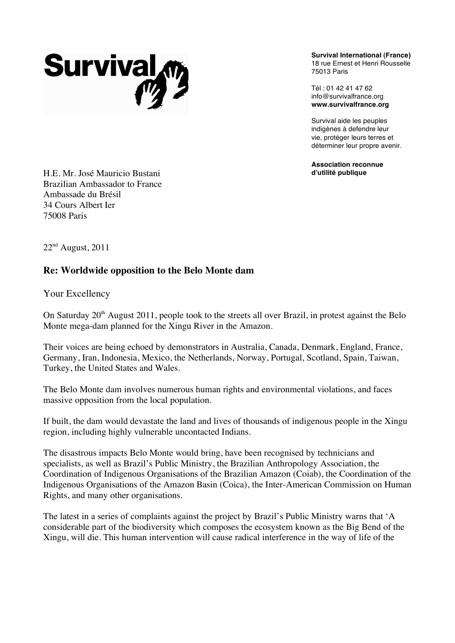

**Survival International (France)** 18 rue Ernest et Henri Rousselle 75013 Paris

Tél : 01 42 41 47 62 info@survivalfrance.org **www.survivalfrance.org**

Survival aide les peuples indigènes à defendre leur vie, protéger leurs terres et déterminer leur propre avenir.

**Association reconnue d'utilité publique**

H.E. Mr. José Mauricio Bustani Brazilian Ambassador to France Ambassade du Brésil 34 Cours Albert Ier 75008 Paris

 $22<sup>nd</sup>$  August, 2011

## **Re: Worldwide opposition to the Belo Monte dam**

Your Excellency

On Saturday 20<sup>th</sup> August 2011, people took to the streets all over Brazil, in protest against the Belo Monte mega-dam planned for the Xingu River in the Amazon.

Their voices are being echoed by demonstrators in Australia, Canada, Denmark, England, France, Germany, Iran, Indonesia, Mexico, the Netherlands, Norway, Portugal, Scotland, Spain, Taiwan, Turkey, the United States and Wales.

The Belo Monte dam involves numerous human rights and environmental violations, and faces massive opposition from the local population.

If built, the dam would devastate the land and lives of thousands of indigenous people in the Xingu region, including highly vulnerable uncontacted Indians.

The disastrous impacts Belo Monte would bring, have been recognised by technicians and specialists, as well as Brazil's Public Ministry, the Brazilian Anthropology Association, the Coordination of Indigenous Organisations of the Brazilian Amazon (Coiab), the Coordination of the Indigenous Organisations of the Amazon Basin (Coica), the Inter-American Commission on Human Rights, and many other organisations.

The latest in a series of complaints against the project by Brazil's Public Ministry warns that 'A considerable part of the biodiversity which composes the ecosystem known as the Big Bend of the Xingu, will die. This human intervention will cause radical interference in the way of life of the